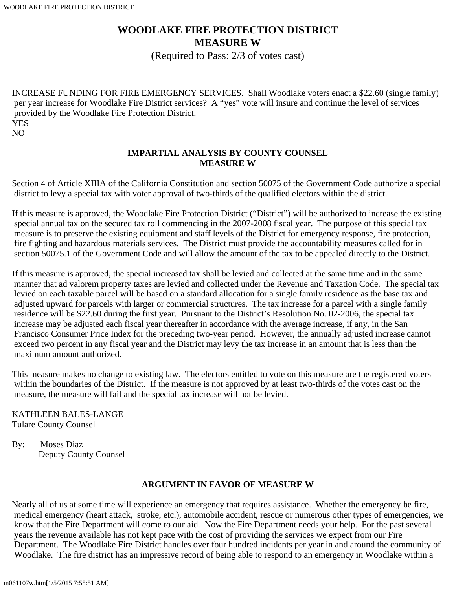## **WOODLAKE FIRE PROTECTION DISTRICT MEASURE W**

(Required to Pass: 2/3 of votes cast)

INCREASE FUNDING FOR FIRE EMERGENCY SERVICES. Shall Woodlake voters enact a \$22.60 (single family) per year increase for Woodlake Fire District services? A "yes" vote will insure and continue the level of services provided by the Woodlake Fire Protection District. YES NO

## **IMPARTIAL ANALYSIS BY COUNTY COUNSEL MEASURE W**

Section 4 of Article XIIIA of the California Constitution and section 50075 of the Government Code authorize a special district to levy a special tax with voter approval of two-thirds of the qualified electors within the district.

If this measure is approved, the Woodlake Fire Protection District ("District") will be authorized to increase the existing special annual tax on the secured tax roll commencing in the 2007-2008 fiscal year. The purpose of this special tax measure is to preserve the existing equipment and staff levels of the District for emergency response, fire protection, fire fighting and hazardous materials services. The District must provide the accountability measures called for in section 50075.1 of the Government Code and will allow the amount of the tax to be appealed directly to the District.

If this measure is approved, the special increased tax shall be levied and collected at the same time and in the same manner that ad valorem property taxes are levied and collected under the Revenue and Taxation Code. The special tax levied on each taxable parcel will be based on a standard allocation for a single family residence as the base tax and adjusted upward for parcels with larger or commercial structures. The tax increase for a parcel with a single family residence will be \$22.60 during the first year. Pursuant to the District's Resolution No. 02-2006, the special tax increase may be adjusted each fiscal year thereafter in accordance with the average increase, if any, in the San Francisco Consumer Price Index for the preceding two-year period. However, the annually adjusted increase cannot exceed two percent in any fiscal year and the District may levy the tax increase in an amount that is less than the maximum amount authorized.

This measure makes no change to existing law. The electors entitled to vote on this measure are the registered voters within the boundaries of the District. If the measure is not approved by at least two-thirds of the votes cast on the measure, the measure will fail and the special tax increase will not be levied.

KATHLEEN BALES-LANGE Tulare County Counsel

By: Moses Diaz Deputy County Counsel

## **ARGUMENT IN FAVOR OF MEASURE W**

Nearly all of us at some time will experience an emergency that requires assistance. Whether the emergency be fire, medical emergency (heart attack, stroke, etc.), automobile accident, rescue or numerous other types of emergencies, we know that the Fire Department will come to our aid. Now the Fire Department needs your help. For the past several years the revenue available has not kept pace with the cost of providing the services we expect from our Fire Department. The Woodlake Fire District handles over four hundred incidents per year in and around the community of Woodlake. The fire district has an impressive record of being able to respond to an emergency in Woodlake within a